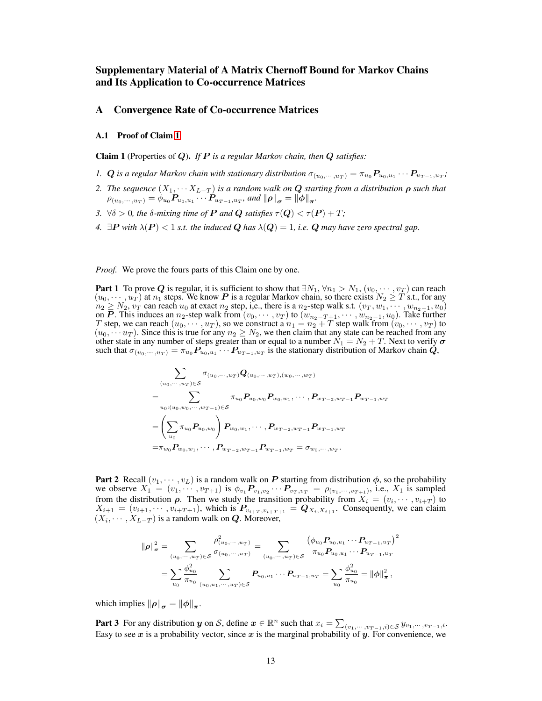# Supplementary Material of A Matrix Chernoff Bound for Markov Chains and Its Application to Co-occurrence Matrices

## A Convergence Rate of Co-occurrence Matrices

## A.1 Proof of Claim [1](#page--1-0)

Claim 1 (Properties of Q). *If* P *is a regular Markov chain, then* Q *satisfies:*

- *1.*  $Q$  is a regular Markov chain with stationary distribution  $\sigma_{(u_0, \cdots, u_T)} = \pi_{u_0} P_{u_0, u_1} \cdots P_{u_{T-1}, u_T}$ ;
- *2. The sequence*  $(X_1, \cdots X_{L-T})$  *is a random walk on* **Q** *starting from a distribution*  $\rho$  *such that*  $\rho_{(u_0, \cdots, u_T)} = \phi_{u_0} P_{u_0, u_1} \cdots P_{u_{T-1}, u_T}$ , and  $\|\rho\|_{\bm{\sigma}} = \|\phi\|_{\bm{\pi}}$ .
- *3.*  $\forall \delta > 0$ *, the*  $\delta$ *-mixing time of*  $P$  *and*  $Q$  *satisfies*  $\tau(Q) < \tau(P) + T$ ;
- *4.*  $\exists P$  *with*  $\lambda(P) < 1$  *s.t. the induced*  $Q$  *has*  $\lambda(Q) = 1$ *, i.e.*  $Q$  *may have zero spectral gap.*

*Proof.* We prove the fours parts of this Claim one by one.

**Part 1** To prove  $Q$  is regular, it is sufficient to show that  $\exists N_1, \forall n_1 > N_1, (v_0, \cdots, v_T)$  can reach  $(u_0, \dots, u_T)$  at  $n_1$  steps. We know  $P$  is a regular Markov chain, so there exists  $N_2 \geq T$  s.t., for any  $n_2 \ge N_2$ ,  $v_T$  can reach  $u_0$  at exact  $n_2$  step, i,e., there is a  $n_2$ -step walk s.t.  $(v_T, w_1, \dots, w_{n_2-1}, u_0)$ on P. This induces an n<sub>2</sub>-step walk from  $(v_0, \dots, v_T)$  to  $(w_{n_2-T+1}, \dots, w_{n_2-1}, u_0)$ . Take further T step, we can reach  $(u_0, \dots, u_T)$ , so we construct a  $n_1 = n_2 + T$  step walk from  $(v_0, \dots, v_T)$  to  $(u_0, \dots, u_T)$ . Since this is true for any  $n_2 \geq N_2$ , we then claim that any state can be reached from any other state in any number of steps greater than or equal to a number  $N_1 = N_2 + T$ . Next to verify  $\sigma$ such that  $\sigma_{(u_0,\dots,u_T)} = \pi_{u_0} P_{u_0,u_1} \dots P_{u_{T-1},u_T}$  is the stationary distribution of Markov chain  $Q$ ,

$$
\sum_{(u_0, \dots, u_T) \in S} \sigma_{(u_0, \dots, u_T)} \mathbf{Q}_{(u_0, \dots, u_T), (w_0, \dots, w_T)} \n= \sum_{u_0: (u_0, w_0, \dots, w_{T-1}) \in S} \pi_{u_0} P_{u_0, w_0} P_{w_0, w_1}, \dots, P_{w_{T-2}, w_{T-1}} P_{w_{T-1}, w_T} \n= \left(\sum_{u_0} \pi_{u_0} P_{u_0, w_0}\right) P_{w_0, w_1}, \dots, P_{w_{T-2}, w_{T-1}} P_{w_{T-1}, w_T} \n= \pi_{w_0} P_{w_0, w_1}, \dots, P_{w_{T-2}, w_{T-1}} P_{w_{T-1}, w_T} = \sigma_{w_0, \dots, w_T}.
$$

**Part 2** Recall  $(v_1, \dots, v_L)$  is a random walk on P starting from distribution  $\phi$ , so the probability we observe  $X_1 = (v_1, \dots, v_{T+1})$  is  $\phi_{v_1} P_{v_1, v_2} \dots P_{v_T, v_T} = \rho_{(v_1, \dots, v_{T+1})}$ , i.e.,  $X_1$  is sampled from the distribution  $\rho$ . Then we study the transition probability from  $X_i = (v_i, \dots, v_{i+T})$  to  $X_{i+1} = (v_{i+1}, \dots, v_{i+T+1})$ , which is  $P_{v_{i+T}, v_{i+T+1}} = Q_{X_i, X_{i+1}}$ . Consequently, we can claim  $(X_i, \dots, X_{L-T})$  is a random walk on Q. Moreover,

$$
\|\rho\|_{\sigma}^{2} = \sum_{(u_{0},...,u_{T})\in\mathcal{S}} \frac{\rho_{(u_{0},...,u_{T})}^{2}}{\sigma_{(u_{0},...,u_{T})}} = \sum_{(u_{0},...,u_{T})\in\mathcal{S}} \frac{(\phi_{u_{0}} P_{u_{0},u_{1}} \cdots P_{u_{T-1},u_{T}})^{2}}{\pi_{u_{0}} P_{u_{0},u_{1}} \cdots P_{u_{T-1},u_{T}}}
$$

$$
= \sum_{u_{0}} \frac{\phi_{u_{0}}^{2}}{\pi_{u_{0}}} \sum_{(u_{0},u_{1},...,u_{T})\in\mathcal{S}} P_{u_{0},u_{1}} \cdots P_{u_{T-1},u_{T}} = \sum_{u_{0}} \frac{\phi_{u_{0}}^{2}}{\pi_{u_{0}}} = \|\phi\|_{\pi}^{2},
$$

which implies  $\|\rho\|_{\sigma} = \|\phi\|_{\pi}$ .

**Part 3** For any distribution y on S, define  $x \in \mathbb{R}^n$  such that  $x_i = \sum_{(v_1, \dots, v_{T-1}, i) \in S} y_{v_1, \dots, v_{T-1}, i}$ . Easy to see x is a probability vector, since x is the marginal probability of y. For convenience, we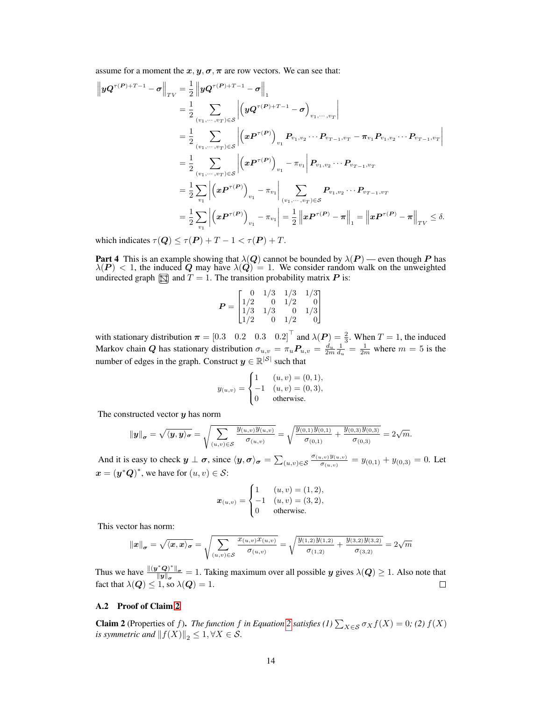assume for a moment the  $x, y, \sigma, \pi$  are row vectors. We can see that:

$$
\begin{split}\n\left\|yQ^{\tau(P)+T-1}-\sigma\right\|_{TV} &= \frac{1}{2} \left\|yQ^{\tau(P)+T-1}-\sigma\right\|_{1} \\
&= \frac{1}{2} \sum_{(v_1,\cdots,v_T)\in\mathcal{S}} \left|\left(yQ^{\tau(P)+T-1}-\sigma\right)_{v_1,\cdots,v_T}\right| \\
&= \frac{1}{2} \sum_{(v_1,\cdots,v_T)\in\mathcal{S}} \left|\left(xP^{\tau(P)}\right)_{v_1} P_{v_1,v_2}\cdots P_{v_{T-1},v_T} - \pi_{v_1} P_{v_1,v_2}\cdots P_{v_{T-1},v_T}\right| \\
&= \frac{1}{2} \sum_{(v_1,\cdots,v_T)\in\mathcal{S}} \left|\left(xP^{\tau(P)}\right)_{v_1} - \pi_{v_1}\right| P_{v_1,v_2}\cdots P_{v_{T-1},v_T} \\
&= \frac{1}{2} \sum_{v_1} \left|\left(xP^{\tau(P)}\right)_{v_1} - \pi_{v_1}\right| \sum_{(v_1,\cdots,v_T)\in\mathcal{S}} P_{v_1,v_2}\cdots P_{v_{T-1},v_T} \\
&= \frac{1}{2} \sum_{v_1} \left|\left(xP^{\tau(P)}\right)_{v_1} - \pi_{v_1}\right| = \frac{1}{2} \left\|xP^{\tau(P)} - \pi\right\|_1 = \left\|xP^{\tau(P)} - \pi\right\|_{TV} \leq \delta.\n\end{split}
$$

which indicates  $\tau(Q) \leq \tau(P) + T - 1 < \tau(P) + T$ .

**Part 4** This is an example showing that  $\lambda(Q)$  cannot be bounded by  $\lambda(P)$  — even though P has  $\lambda(P)$  < 1, the induced Q may have  $\lambda(Q) = 1$ . We consider random walk on the unweighted undirected graph  $\boxed{\boxtimes}$  and  $T = 1$ . The transition probability matrix P is:

$$
P = \begin{bmatrix} 0 & 1/3 & 1/3 & 1/3 \\ 1/2 & 0 & 1/2 & 0 \\ 1/3 & 1/3 & 0 & 1/3 \\ 1/2 & 0 & 1/2 & 0 \end{bmatrix}
$$

with stationary distribution  $\boldsymbol{\pi} = \begin{bmatrix} 0.3 & 0.2 & 0.3 & 0.2 \end{bmatrix}^T$  and  $\lambda(P) = \frac{2}{3}$ . When  $T = 1$ , the induced Markov chain Q has stationary distribution  $\sigma_{u,v} = \pi_u P_{u,v} = \frac{d_u}{2m} \frac{1}{d_u} = \frac{1}{2m}$  where  $m = 5$  is the number of edges in the graph. Construct  $y \in \mathbb{R}^{|\mathcal{S}|}$  such that

$$
y_{(u,v)} = \begin{cases} 1 & (u,v) = (0,1), \\ -1 & (u,v) = (0,3), \\ 0 & \text{otherwise.} \end{cases}
$$

The constructed vector  $y$  has norm

$$
\|\mathbf{y}\|_{\sigma} = \sqrt{\langle \mathbf{y}, \mathbf{y} \rangle_{\sigma}} = \sqrt{\sum_{(u,v) \in \mathcal{S}} \frac{y_{(u,v)} y_{(u,v)}}{\sigma_{(u,v)}}} = \sqrt{\frac{y_{(0,1)} y_{(0,1)}}{\sigma_{(0,1)}} + \frac{y_{(0,3)} y_{(0,3)}}{\sigma_{(0,3)}}} = 2\sqrt{m}.
$$

And it is easy to check  $y \perp \sigma$ , since  $\langle y, \sigma \rangle_{\sigma} = \sum_{(u,v) \in S} \frac{\sigma_{(u,v)} y_{(u,v)}}{\sigma_{(u,v)}}$  $\frac{y_{(u,v)}y_{(u,v)}}{\sigma_{(u,v)}} = y_{(0,1)} + y_{(0,3)} = 0$ . Let  $\mathbf{x} = (\mathbf{y}^*\mathbf{Q})^*$ , we have for  $(u, v) \in \mathcal{S}$ :

$$
\boldsymbol{x}_{(u,v)} = \begin{cases} 1 & (u,v) = (1,2), \\ -1 & (u,v) = (3,2), \\ 0 & \text{otherwise.} \end{cases}
$$

This vector has norm:

$$
\|\bm{x}\|_{\bm{\sigma}} = \sqrt{\langle \bm{x}, \bm{x} \rangle_{\bm{\sigma}}} = \sqrt{\sum_{(u,v) \in \mathcal{S}} \frac{x_{(u,v)} x_{(u,v)}}{\sigma_{(u,v)}}} = \sqrt{\frac{y_{(1,2)} y_{(1,2)}}{\sigma_{(1,2)}} + \frac{y_{(3,2)} y_{(3,2)}}{\sigma_{(3,2)}}} = 2\sqrt{m}
$$

Thus we have  $\frac{\|(y^*Q)^*\|_{\sigma}}{\|y\|}$  $\frac{dQ}{||y||_{\sigma}} = 1$ . Taking maximum over all possible y gives  $\lambda(Q) \ge 1$ . Also note that fact that  $\lambda(\boldsymbol{Q}) \leq 1$ , so  $\lambda(\boldsymbol{Q}) = 1$ .

#### A.2 Proof of Claim [2](#page--1-1)

**Claim [2](#page--1-2)** (Properties of f). *The function* f *in Equation* 2 *satisfies* (1)  $\sum_{X \in S} \sigma_X f(X) = 0$ ; (2)  $f(X)$ *is symmetric and*  $||f(X)||_2 \leq 1, \forall X \in S$ .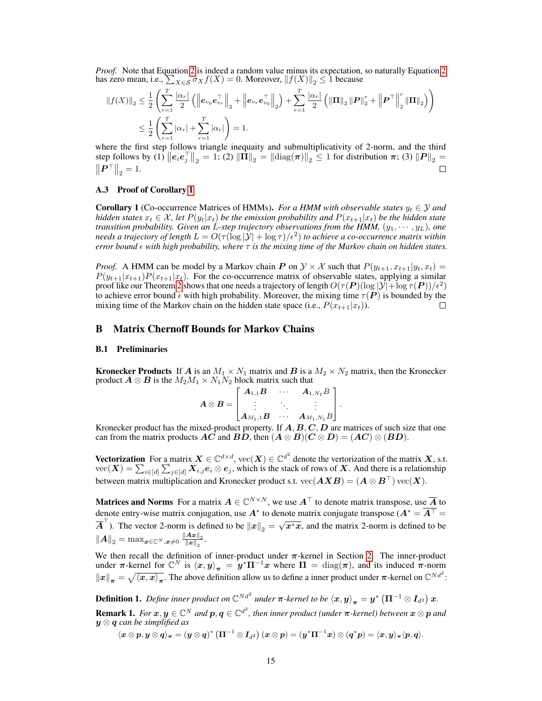*Proof.* Note that Equation [2](#page--1-2) is indeed a random value minus its expectation, so naturally Equation [2](#page--1-2) has zero mean, i.e.,  $\sum_{X \in \mathcal{S}} \sigma_X f(X) = 0$ . Moreover,  $||f(X)||_2 \leq 1$  because

$$
||f(X)||_2 \leq \frac{1}{2} \left( \sum_{r=1}^T \frac{|\alpha_r|}{2} (||\mathbf{e}_{v_0} \mathbf{e}_{v_r}^{\top}||_2 + ||\mathbf{e}_{v_r} \mathbf{e}_{v_0}^{\top}||_2) + \sum_{r=1}^T \frac{|\alpha_r|}{2} (||\mathbf{\Pi}||_2 ||\mathbf{P}||_2^{\tau} + ||\mathbf{P}^{\top}||_2^{\tau} ||\mathbf{\Pi}||_2) \right)
$$
  

$$
\leq \frac{1}{2} \left( \sum_{r=1}^T |\alpha_r| + \sum_{r=1}^T |\alpha_r| \right) = 1.
$$

where the first step follows triangle inequaity and submultiplicativity of 2-norm, and the third step follows by (1)  $||e_i e_j^{\top}||_2 = 1$ ; (2)  $||\hat{\mathbf{\Pi}}||_2 = ||\text{diag}(\pi)||_2 \le 1$  for distribution  $\pi$ ; (3)  $||P||_2 =$  $\left\| \bm{P}^{\top} \right\|_2 = 1.$  $\Box$ 

#### A.3 Proof of Corollary [1](#page--1-3)

**Corollary 1** (Co-occurrence Matrices of HMMs). *For a HMM with observable states*  $y_t \in \mathcal{Y}$  and *hidden states*  $x_t \in \mathcal{X}$ , let  $P(y_t|x_t)$  *be the emission probability and*  $P(x_{t+1}|x_t)$  *be the hidden state transition probability. Given an L-step trajectory observations from the HMM,*  $(y_1, \dots, y_L)$ *, one needs a trajectory of length*  $L = O(\tau(\log |\mathcal{Y}| + \log \tau)/\epsilon^2)$  *to achieve a co-occurrence matrix within error bound with high probability, where* τ *is the mixing time of the Markov chain on hidden states.*

*Proof.* A HMM can be model by a Markov chain P on  $\mathcal{Y} \times \mathcal{X}$  such that  $P(y_{t+1}, x_{t+1}|y_t, x_t) =$  $P(y_{t+1}|x_{t+1})P(x_{t+1}|x_t)$ . For the co-occurrence matrix of observable states, applying a similar proof like our Theorem [2](#page--1-4) shows that one needs a trajectory of length  $O(\tau(P)(\log|\mathcal{Y}| + \log \tau(P))/\epsilon^2)$ to achieve error bound  $\epsilon$  with high probability. Moreover, the mixing time  $\tau(P)$  is bounded by the mixing time of the Markov chain on the hidden state space (i.e.,  $P(x_{t+1}|x_t)$ ).  $\Box$ 

### B Matrix Chernoff Bounds for Markov Chains

#### B.1 Preliminaries

**Kronecker Products** If A is an  $M_1 \times N_1$  matrix and B is a  $M_2 \times N_2$  matrix, then the Kronecker product  $A \otimes B$  is the  $M_2M_1 \times N_1N_2$  block matrix such that

<span id="page-2-0"></span>
$$
\boldsymbol{A}\otimes \boldsymbol{B}=\begin{bmatrix} \boldsymbol{A}_{1,1}\boldsymbol{B} & \cdots & \boldsymbol{A}_{1,N_1}B \\ \vdots & \ddots & \vdots \\ \boldsymbol{A}_{M_1,1}\boldsymbol{B} & \cdots & \boldsymbol{A}_{M_1,N_1}B \end{bmatrix}.
$$

Kronecker product has the mixed-product property. If  $A, B, C, D$  are matrices of such size that one can from the matrix products  $\mathbf{AC}$  and  $\mathbf{BD}$ , then  $(\mathbf{A} \otimes \mathbf{B})(\mathbf{C} \otimes \mathbf{D}) = (\mathbf{AC}) \otimes (\mathbf{BD})$ .

**Vectorization** For a matrix  $X \in \mathbb{C}^{d \times d}$ ,  $\text{vec}(X) \in \mathbb{C}^{d^2}$  denote the vertorization of the matrix X, s.t.  $\text{vec}(\bm{X}) = \sum_{i \in [d]} \sum_{j \in [d]} \bm{X}_{i,j} \bm{e}_i \otimes \bm{e}_j$ , which is the stack of rows of  $\bm{X}$ . And there is a relationship between matrix multiplication and Kronecker product s.t.  $\text{vec}(AXB) = (A \otimes B^\top) \text{vec}(X)$ .

Matrices and Norms For a matrix  $A \in \mathbb{C}^{N \times N}$ , we use  $A^{\top}$  to denote matrix transpose, use  $\overline{A}$  to denote entry-wise matrix conjugation, use  $A^*$  to denote matrix conjugate transpose ( $A^* = \overline{A^{\top}}$  =  $\overline{A}^{\top}$ ). The vector 2-norm is defined to be  $||x||_2 =$  $\sqrt{x^*x}$ , and the matrix 2-norm is defined to be  $\left\Vert \boldsymbol{A}\right\Vert _{2}=\max_{\boldsymbol{x}\in\mathbb{C}^{N},\boldsymbol{x}\neq0}\frac{\left\Vert \boldsymbol{A}\boldsymbol{x}\right\Vert _{2}}{\left\Vert \boldsymbol{x}\right\Vert _{2}}$  $\frac{\boldsymbol{A}\boldsymbol{x}_{\parallel_2}}{\left\Vert \boldsymbol{x} \right\Vert_2}$ .

We then recall the definition of inner-product under  $\pi$ -kernel in Section [2.](#page--1-5) The inner-product under  $\pi$ -kernel for  $\mathbb{C}^N$  is  $\langle x, y \rangle_{\pi} = y^* \Pi^{-1} x$  where  $\Pi = \text{diag}(\pi)$ , and its induced  $\pi$ -norm  $||x||_{\pi} = \sqrt{\langle x, x \rangle_{\pi}}$ . The above definition allow us to define a inner product under  $\pi$ -kernel on  $\mathbb{C}^{Nd^2}$ :

<span id="page-2-1"></span>**Definition 1.** Define inner product on  $\mathbb{C}^{Nd^2}$  under  $\pi$ -kernel to be  $\braket{x,y}_\pi = y^*\left(\Pi^{-1}\otimes I_{d^2}\right)x$ . **Remark 1.** For  $x, y \in \mathbb{C}^N$  and  $p, q \in \mathbb{C}^{d^2}$ , then inner product (under  $\pi$ -kernel) between  $x \otimes p$  and y ⊗ q *can be simplified as*

 $\langle \pmb{x} \otimes \pmb{p}, \pmb{y} \otimes \pmb{q} \rangle_{\pmb{\pi}} = (\pmb{y} \otimes \pmb{q})^* \left( \pmb{\Pi}^{-1} \otimes \pmb{I}_{d^2} \right) (\pmb{x} \otimes \pmb{p}) = (\pmb{y}^* \pmb{\Pi}^{-1} \pmb{x}) \otimes (\pmb{q}^* \pmb{p}) = \langle \pmb{x}, \pmb{y} \rangle_{\pmb{\pi}} \langle \pmb{p}, \pmb{q} \rangle.$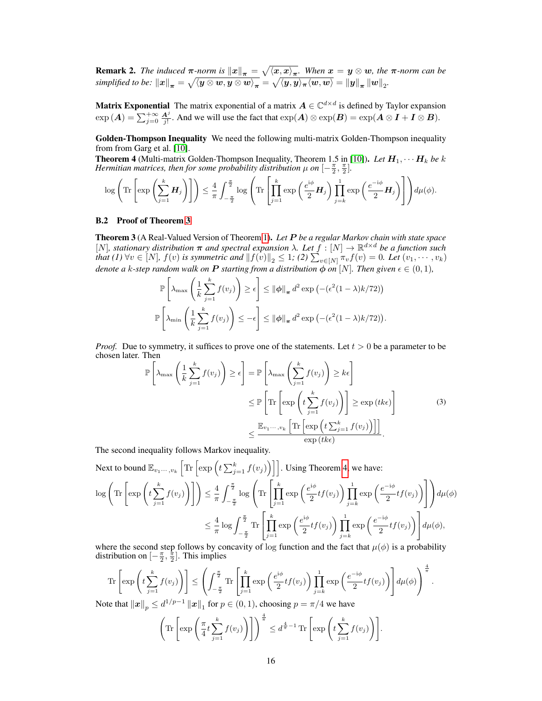<span id="page-3-1"></span>**Remark 2.** The induced  $\pi$ -norm is  $||x||_{\pi} = \sqrt{\langle x, x \rangle_{\pi}}$ . When  $x = y \otimes w$ , the  $\pi$ -norm can be  $simplified\ to\ be\: \ \left\| x \right\|_{\boldsymbol{\pi}} = \sqrt{\left\langle y\otimes w, y\otimes w \right\rangle _{\boldsymbol{\pi}}} = \sqrt{\left\langle y, y \right\rangle_{\boldsymbol{\pi}} \langle w, w \rangle} = \left\| y \right\|_{\boldsymbol{\pi}} \left\| w \right\|_{2}.$ 

**Matrix Exponential** The matrix exponential of a matrix  $A \in \mathbb{C}^{d \times d}$  is defined by Taylor expansion  $\exp(A) = \sum_{j=0}^{+\infty} \frac{A^j}{j!}$ . And we will use the fact that  $\exp(A) \otimes \exp(B) = \exp(A \otimes I + I \otimes B)$ .

Golden-Thompson Inequality We need the following multi-matrix Golden-Thompson inequality from from Garg et al. [\[10\]](#page--1-6).

**Theorem 4** (Multi-matrix Golden-Thompson Inequality, Theorem 1.5 in [\[10\]](#page--1-6)). Let  $H_1, \cdots H_k$  be k *Hermitian matrices, then for some probability distribution*  $\mu$  *on*  $[-\frac{\pi}{2},\frac{\pi}{2}]$ *.* 

$$
\log \left( \text{Tr} \left[ \exp \left( \sum_{j=1}^k \mathbf{H}_j \right) \right] \right) \leq \frac{4}{\pi} \int_{-\frac{\pi}{2}}^{\frac{\pi}{2}} \log \left( \text{Tr} \left[ \prod_{j=1}^k \exp \left( \frac{e^{i\phi}}{2} \mathbf{H}_j \right) \prod_{j=k}^1 \exp \left( \frac{e^{-i\phi}}{2} \mathbf{H}_j \right) \right] \right) d\mu(\phi).
$$

#### B.2 Proof of Theorem [3](#page--1-7)

Theorem 3 (A Real-Valued Version of Theorem [1\)](#page--1-8). *Let* P *be a regular Markov chain with state space* [N]*, stationary distribution* π *and spectral expansion* λ*. Let* f : [N] → R <sup>d</sup>×<sup>d</sup> *be a function such that (1)*  $\forall v \in [N]$ ,  $f(v)$  *is symmetric and*  $||f(v)||_2 \leq 1$ ; (2)  $\sum_{v \in [N]} \pi_v f(v) = 0$ . Let  $(v_1, \dots, v_k)$ *denote a* k-step random walk on **P** starting from a distribution  $\phi$  on [N]. Then given  $\epsilon \in (0,1)$ *,* 

$$
\mathbb{P}\left[\lambda_{\max}\left(\frac{1}{k}\sum_{j=1}^{k}f(v_j)\right)\geq \epsilon\right] \leq \|\phi\|_{\pi} d^2 \exp\left(-(\epsilon^2(1-\lambda)k/72)\right)
$$

$$
\mathbb{P}\left[\lambda_{\min}\left(\frac{1}{k}\sum_{j=1}^{k}f(v_j)\right)\leq -\epsilon\right] \leq \|\phi\|_{\pi} d^2 \exp\left(-(\epsilon^2(1-\lambda)k/72)\right).
$$

*Proof.* Due to symmetry, it suffices to prove one of the statements. Let  $t > 0$  be a parameter to be chosen later. Then

<span id="page-3-0"></span>
$$
\mathbb{P}\left[\lambda_{\max}\left(\frac{1}{k}\sum_{j=1}^{k}f(v_{j})\right)\geq\epsilon\right]=\mathbb{P}\left[\lambda_{\max}\left(\sum_{j=1}^{k}f(v_{j})\right)\geq k\epsilon\right]
$$
\n
$$
\leq\mathbb{P}\left[\text{Tr}\left[\exp\left(t\sum_{j=1}^{k}f(v_{j})\right)\right]\geq\exp(tk\epsilon)\right]
$$
\n
$$
\leq\frac{\mathbb{E}_{v_{1}\cdots,v_{k}}\left[\text{Tr}\left[\exp\left(t\sum_{j=1}^{k}f(v_{j})\right)\right]\right]}{\exp(tk\epsilon)}.
$$
\n(3)

The second inequality follows Markov inequality.

Next to bound 
$$
\mathbb{E}_{v_1...v_k} \left[ \text{Tr} \left[ \exp \left( t \sum_{j=1}^k f(v_j) \right) \right] \right]
$$
. Using Theorem 4, we have:  
\n
$$
\log \left( \text{Tr} \left[ \exp \left( t \sum_{j=1}^k f(v_j) \right) \right] \right) \leq \frac{4}{\pi} \int_{-\frac{\pi}{2}}^{\frac{\pi}{2}} \log \left( \text{Tr} \left[ \prod_{j=1}^k \exp \left( \frac{e^{i\phi}}{2} t f(v_j) \right) \prod_{j=k}^1 \exp \left( \frac{e^{-i\phi}}{2} t f(v_j) \right) \right] \right) d\mu(\phi)
$$
\n
$$
\leq \frac{4}{\pi} \log \int_{-\frac{\pi}{2}}^{\frac{\pi}{2}} \text{Tr} \left[ \prod_{j=1}^k \exp \left( \frac{e^{i\phi}}{2} t f(v_j) \right) \prod_{j=k}^1 \exp \left( \frac{e^{-i\phi}}{2} t f(v_j) \right) \right] d\mu(\phi),
$$

where the second step follows by concavity of log function and the fact that  $\mu(\phi)$  is a probability distribution on  $\left[-\frac{\pi}{2},\frac{\pi}{2}\right]$ . This implies

$$
\text{Tr}\left[\exp\left(t\sum_{j=1}^k f(v_j)\right)\right] \leq \left(\int_{-\frac{\pi}{2}}^{\frac{\pi}{2}} \text{Tr}\left[\prod_{j=1}^k \exp\left(\frac{e^{i\phi}}{2}tf(v_j)\right) \prod_{j=k}^1 \exp\left(\frac{e^{-i\phi}}{2}tf(v_j)\right)\right] d\mu(\phi)\right)^{\frac{4}{\pi}}.
$$
\nAt that  $||x||_1 \leq d^{1/p-1} ||x||_1$  for  $p \in (0, 1)$ , choosing  $x = \pi/4$  we have.

Note that  $\|x\|_p \le d^{1/p-1} \|x\|_1$  for  $p \in (0,1)$ , choosing  $p = \pi/4$  we have

$$
\left(\text{Tr}\left[\exp\left(\frac{\pi}{4}t\sum_{j=1}^k f(v_j)\right)\right]\right)^{\frac{4}{\pi}} \leq d^{\frac{4}{\pi}-1}\text{Tr}\left[\exp\left(t\sum_{j=1}^k f(v_j)\right)\right].
$$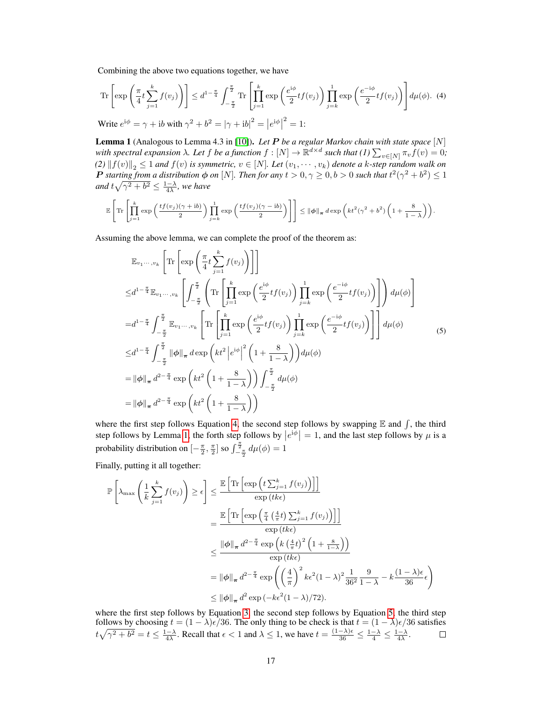Combining the above two equations together, we have

$$
\operatorname{Tr}\left[\exp\left(\frac{\pi}{4}t\sum_{j=1}^{k}f(v_j)\right)\right] \leq d^{1-\frac{\pi}{4}}\int_{-\frac{\pi}{2}}^{\frac{\pi}{2}} \operatorname{Tr}\left[\prod_{j=1}^{k}\exp\left(\frac{e^{i\phi}}{2}tf(v_j)\right)\prod_{j=k}^{1}\exp\left(\frac{e^{-i\phi}}{2}tf(v_j)\right)\right]d\mu(\phi). \tag{4}
$$

Write  $e^{i\phi} = \gamma + ib$  with  $\gamma^2 + b^2 = |\gamma + ib|^2 = |e^{i\phi}|$  $2^2 = 1$ :

Lemma 1 (Analogous to Lemma 4.3 in [\[10\]](#page--1-6)). *Let* P *be a regular Markov chain with state space* [N] with spectral expansion  $\lambda$ . Let  $f$  be a function  $f: [N] \to \mathbb{R}^{d \times d}$  such that  $(I) \sum_{v \in [N]} \pi_v f(v) = 0$ ;  $(2)$   $|| f(v) ||_2 \leq 1$  *and*  $f(v)$  *is symmetric,*  $v \in [N]$ *. Let*  $(v_1, \dots, v_k)$  *denote a* k-step random walk on P starting from a distribution  $\phi$  on [N]. Then for any  $t > 0, \gamma \ge 0, b > 0$  such that  $t^2(\gamma^2 + b^2) \le 1$ and  $t\sqrt{\gamma^2+b^2} \leq \frac{1-\lambda}{4\lambda}$ , we have

$$
\mathbb{E}\left[\text{Tr}\left[\prod_{j=1}^k \exp\left(\frac{tf(v_j)(\gamma+\mathrm{i}b)}{2}\right) \prod_{j=k}^1 \exp\left(\frac{tf(v_j)(\gamma-\mathrm{i}b)}{2}\right)\right]\right] \leq \|\phi\|_{\pi} d \exp\left(kt^2(\gamma^2+b^2)\left(1+\frac{8}{1-\lambda}\right)\right).
$$

Assuming the above lemma, we can complete the proof of the theorem as:

<span id="page-4-0"></span>
$$
\mathbb{E}_{v_1\cdots,v_k} \left[ \text{Tr} \left[ \exp\left( \frac{\pi}{4} t \sum_{j=1}^k f(v_j) \right) \right] \right]
$$
\n
$$
\leq d^{1-\frac{\pi}{4}} \mathbb{E}_{v_1\cdots,v_k} \left[ \int_{-\frac{\pi}{2}}^{\frac{\pi}{2}} \left( \text{Tr} \left[ \prod_{j=1}^k \exp\left( \frac{e^{i\phi}}{2} t f(v_j) \right) \prod_{j=k}^1 \exp\left( \frac{e^{-i\phi}}{2} t f(v_j) \right) \right] \right) d\mu(\phi) \right]
$$
\n
$$
= d^{1-\frac{\pi}{4}} \int_{-\frac{\pi}{2}}^{\frac{\pi}{2}} \mathbb{E}_{v_1\cdots,v_k} \left[ \text{Tr} \left[ \prod_{j=1}^k \exp\left( \frac{e^{i\phi}}{2} t f(v_j) \right) \prod_{j=k}^1 \exp\left( \frac{e^{-i\phi}}{2} t f(v_j) \right) \right] \right] d\mu(\phi)
$$
\n
$$
\leq d^{1-\frac{\pi}{4}} \int_{-\frac{\pi}{2}}^{\frac{\pi}{2}} \|\phi\|_{\pi} d \exp\left( kt^2 \left| e^{i\phi} \right|^2 \left( 1 + \frac{8}{1-\lambda} \right) \right) d\mu(\phi)
$$
\n
$$
= \|\phi\|_{\pi} d^{2-\frac{\pi}{4}} \exp\left( kt^2 \left( 1 + \frac{8}{1-\lambda} \right) \right) \int_{-\frac{\pi}{2}}^{\frac{\pi}{2}} d\mu(\phi)
$$
\n
$$
= \|\phi\|_{\pi} d^{2-\frac{\pi}{4}} \exp\left( kt^2 \left( 1 + \frac{8}{1-\lambda} \right) \right)
$$

where the first step follows Equation [4,](#page-3-0) the second step follows by swapping  $E$  and  $\int$ , the third step follows by Lemma [1,](#page--1-10) the forth step follows by  $|e^{i\phi}| = 1$ , and the last step follows by  $\mu$  is a probability distribution on  $\left[-\frac{\pi}{2},\frac{\pi}{2}\right]$  so  $\int_{-\frac{\pi}{2}}^{\frac{\pi}{2}} d\mu(\phi) = 1$ 

Finally, putting it all together:

<span id="page-4-1"></span>
$$
\mathbb{P}\left[\lambda_{\max}\left(\frac{1}{k}\sum_{j=1}^{k}f(v_{j})\right) \geq \epsilon\right] \leq \frac{\mathbb{E}\left[\text{Tr}\left[\exp\left(t\sum_{j=1}^{k}f(v_{j})\right)\right]\right]}{\exp\left(tk\epsilon\right)} \\
= \frac{\mathbb{E}\left[\text{Tr}\left[\exp\left(\frac{\pi}{4}\left(\frac{4}{\pi}t\right)\sum_{j=1}^{k}f(v_{j})\right)\right]\right]}{\exp\left(tk\epsilon\right)} \\
\leq \frac{\|\phi\|_{\pi} d^{2-\frac{\pi}{4}}\exp\left(k\left(\frac{4}{\pi}t\right)^{2}\left(1+\frac{8}{1-\lambda}\right)\right)}{\exp\left(tk\epsilon\right)} \\
= \|\phi\|_{\pi} d^{2-\frac{\pi}{4}}\exp\left(\left(\frac{4}{\pi}\right)^{2}k\epsilon^{2}(1-\lambda)^{2}\frac{1}{36^{2}}\frac{9}{1-\lambda} - k\frac{(1-\lambda)\epsilon}{36}\epsilon\right) \\
\leq \|\phi\|_{\pi} d^{2}\exp\left(-k\epsilon^{2}(1-\lambda)/72\right).
$$

where the first step follows by Equation [3,](#page-2-0) the second step follows by Equation [5,](#page-4-0) the third step follows by choosing  $t = (1 - \lambda)\epsilon/36$ . The only thing to be check is that  $t = (1 - \lambda)\epsilon/36$  satisfies  $t\sqrt{\gamma^2 + b^2} = t \leq \frac{1-\lambda}{4\lambda}$ . Recall that  $\epsilon < 1$  and  $\lambda \leq 1$ , we have  $t = \frac{(1-\lambda)\epsilon}{36} \leq \frac{1-\lambda}{4} \leq \frac{1-\lambda}{4\lambda}$ .  $\Box$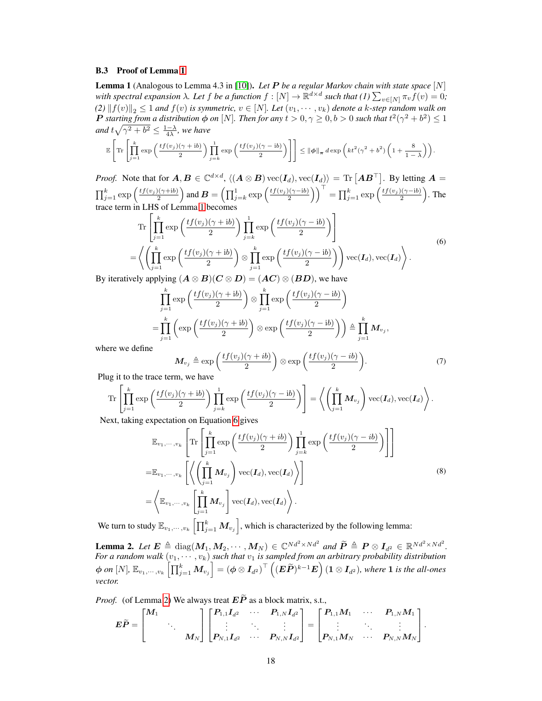### B.3 Proof of Lemma [1](#page--1-10)

**Lemma 1** (Analogous to Lemma 4.3 in [\[10\]](#page--1-6)). Let **P** be a regular Markov chain with state space  $[N]$ with spectral expansion  $\lambda$ . Let  $f$  be a function  $f: [N] \to \mathbb{R}^{d \times d}$  such that  $(I) \sum_{v \in [N]} \pi_v \hat{f}(v) = 0$ ;  $(2)$   $|| f(v) ||_2 \leq 1$  *and*  $f(v)$  *is symmetric,*  $v \in [N]$ *. Let*  $(v_1, \dots, v_k)$  *denote a* k-step random walk on **P** starting from a distribution  $\phi$  on [N]. Then for any  $t > 0, \gamma \ge 0, b > 0$  such that  $t^2(\gamma^2 + b^2) \le 1$ and  $t\sqrt{\gamma^2+b^2}\leq \frac{1-\lambda}{4\lambda}$ , we have

$$
\mathbb{E}\left[\mathrm{Tr}\left[\prod_{j=1}^k \exp\left(\frac{tf(v_j)(\gamma+ib)}{2}\right) \prod_{j=k}^1 \exp\left(\frac{tf(v_j)(\gamma-ib)}{2}\right)\right]\right] \leq \|\phi\|_{\pi} d \exp\left(kt^2(\gamma^2+b^2)\left(1+\frac{8}{1-\lambda}\right)\right).
$$

*Proof.* Note that for  $A, B \in \mathbb{C}^{d \times d}$ ,  $\langle (A \otimes B) \text{vec}(I_d), \text{vec}(I_d) \rangle = \text{Tr} [AB^\top]$ . By letting  $A =$  $\prod_{j=1}^k \exp\left(\frac{tf(v_j)(\gamma+ib)}{2}\right)$  and  $\boldsymbol{B} = \left(\prod_{j=k}^1 \exp\left(\frac{tf(v_j)(\gamma-ib)}{2}\right)\right)^\top = \prod_{j=1}^k \exp\left(\frac{tf(v_j)(\gamma-ib)}{2}\right)$ . The trace term in LHS of Lemma [1](#page--1-10) becomes

Tr 
$$
\left[\prod_{j=1}^{k} \exp\left(\frac{tf(v_j)(\gamma + ib)}{2}\right) \prod_{j=k}^{1} \exp\left(\frac{tf(v_j)(\gamma - ib)}{2}\right)\right]
$$
  
=  $\left\langle \left(\prod_{j=1}^{k} \exp\left(\frac{tf(v_j)(\gamma + ib)}{2}\right) \otimes \prod_{j=1}^{k} \exp\left(\frac{tf(v_j)(\gamma - ib)}{2}\right)\right) \text{vec}(I_d), \text{vec}(I_d) \right\rangle$ .

By iteratively applying  $(A \otimes B)(C \otimes D) = (AC) \otimes (BD)$ , we have

$$
\prod_{j=1}^{k} \exp\left(\frac{tf(v_j)(\gamma + ib)}{2}\right) \otimes \prod_{j=1}^{k} \exp\left(\frac{tf(v_j)(\gamma - ib)}{2}\right)
$$
\n
$$
= \prod_{j=1}^{k} \left(\exp\left(\frac{tf(v_j)(\gamma + ib)}{2}\right) \otimes \exp\left(\frac{tf(v_j)(\gamma - ib)}{2}\right)\right) \triangleq \prod_{j=1}^{k} M_{v_j},
$$
\ne

where we define

<span id="page-5-1"></span>
$$
\boldsymbol{M}_{v_j} \triangleq \exp\left(\frac{tf(v_j)(\gamma + ib)}{2}\right) \otimes \exp\left(\frac{tf(v_j)(\gamma - ib)}{2}\right). \tag{7}
$$

<span id="page-5-3"></span><span id="page-5-2"></span> $\sim$   $\sim$ 

Plug it to the trace term, we have

$$
\operatorname{Tr}\left[\prod_{j=1}^k \exp\left(\frac{tf(v_j)(\gamma+ib)}{2}\right) \prod_{j=k}^1 \exp\left(\frac{tf(v_j)(\gamma-ib)}{2}\right)\right] = \left\langle \left(\prod_{j=1}^k M_{v_j}\right) \operatorname{vec}(\mathbf{I}_d), \operatorname{vec}(\mathbf{I}_d) \right\rangle.
$$

Next, taking expectation on Equation [6](#page-4-1) gives

$$
\mathbb{E}_{v_1,\dots,v_k} \left[ \text{Tr} \left[ \prod_{j=1}^k \exp\left( \frac{tf(v_j)(\gamma + ib)}{2} \right) \prod_{j=k}^1 \exp\left( \frac{tf(v_j)(\gamma - ib)}{2} \right) \right] \right]
$$
\n
$$
= \mathbb{E}_{v_1,\dots,v_k} \left[ \left\langle \left( \prod_{j=1}^k \mathbf{M}_{v_j} \right) \text{vec}(\mathbf{I}_d), \text{vec}(\mathbf{I}_d) \right\rangle \right]
$$
\n
$$
= \left\langle \mathbb{E}_{v_1,\dots,v_k} \left[ \prod_{j=1}^k \mathbf{M}_{v_j} \right] \text{vec}(\mathbf{I}_d), \text{vec}(\mathbf{I}_d) \right\rangle. \tag{8}
$$

We turn to study  $\mathbb{E}_{v_1,\cdots,v_k}\left[\prod_{j=1}^k M_{v_j}\right]$ , which is characterized by the following lemma:

<span id="page-5-0"></span>**Lemma 2.** Let  $E \triangleq \text{diag}(M_1, M_2, \dots, M_N) \in \mathbb{C}^{Nd^2 \times Nd^2}$  and  $\widetilde{P} \triangleq P \otimes I_{d^2} \in \mathbb{R}^{Nd^2 \times Nd^2}$ . *For a random walk*  $(v_1, \dots, v_k)$  *such that*  $v_1$  *is sampled from an arbitrary probability distribution*  $\phi$  *on*  $[N], \mathbb{E}_{v_1, \cdots, v_k}\left[\prod_{j=1}^k M_{v_j}\right] = \left(\phi \otimes I_{d^2}\right)^\top \left((\boldsymbol{E}\widetilde{\boldsymbol{P}})^{k-1}\boldsymbol{E}\right) (1 \otimes I_{d^2}),$  where  $1$  is the all-ones *vector.*

*Proof.* (of Lemma [2\)](#page-5-0) We always treat  $E\widetilde{P}$  as a block matrix, s.t.,

$$
\bm{E}\widetilde{\bm{P}} = \begin{bmatrix} \bm{M}_1 & & \\ & \ddots & \\ & & M_N \end{bmatrix} \begin{bmatrix} \bm{P}_{1,1}\bm{I}_{d^2} & \cdots & \bm{P}_{1,N}\bm{I}_{d^2} \\ \vdots & \ddots & \vdots \\ \bm{P}_{N,1}\bm{I}_{d^2} & \cdots & \bm{P}_{N,N}\bm{I}_{d^2} \end{bmatrix} = \begin{bmatrix} \bm{P}_{1,1}\bm{M}_1 & \cdots & \bm{P}_{1,N}\bm{M}_1 \\ \vdots & \ddots & \vdots \\ \bm{P}_{N,1}\bm{M}_N & \cdots & \bm{P}_{N,N}\bm{M}_N \end{bmatrix}.
$$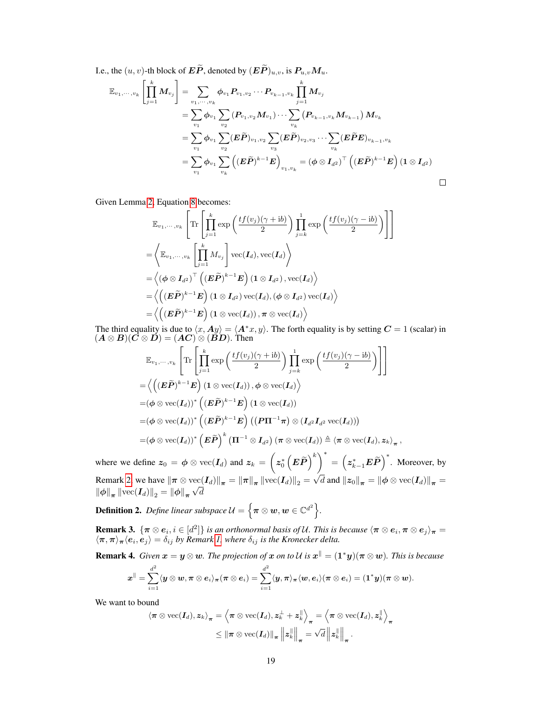I.e., the  $(u, v)$ -th block of  $\boldsymbol{E}\widetilde{\boldsymbol{P}}$ , denoted by  $(\boldsymbol{E}\widetilde{\boldsymbol{P}})_{u,v}$ , is  $\boldsymbol{P}_{u,v}\boldsymbol{M}_{u}$ .

$$
\mathbb{E}_{v_1,\dots,v_k} \left[ \prod_{j=1}^k M_{v_j} \right] = \sum_{v_1,\dots,v_k} \phi_{v_1} P_{v_1,v_2} \cdots P_{v_{k-1},v_k} \prod_{j=1}^k M_{v_j} \n= \sum_{v_1} \phi_{v_1} \sum_{v_2} (P_{v_1,v_2} M_{v_1}) \cdots \sum_{v_k} (P_{v_{k-1},v_k} M_{v_{k-1}}) M_{v_k} \n= \sum_{v_1} \phi_{v_1} \sum_{v_2} (E \widetilde{P})_{v_1,v_2} \sum_{v_3} (E \widetilde{P})_{v_2,v_3} \cdots \sum_{v_k} (E \widetilde{P} E)_{v_{k-1},v_k} \n= \sum_{v_1} \phi_{v_1} \sum_{v_k} \left( (E \widetilde{P})^{k-1} E \right)_{v_1,v_k} = (\phi \otimes I_{d^2})^\top \left( (E \widetilde{P})^{k-1} E \right) (1 \otimes I_{d^2}) \qquad \Box
$$

1  $\mathbf{I}$ 

Given Lemma [2,](#page-5-0) Equation [8](#page-5-1) becomes:

$$
\mathbb{E}_{v_1,\dots,v_k} \left[ \text{Tr} \left[ \prod_{j=1}^k \exp\left( \frac{tf(v_j)(\gamma + \mathrm{i}b)}{2} \right) \prod_{j=k}^1 \exp\left( \frac{tf(v_j)(\gamma - \mathrm{i}b)}{2} \right) \right] \right]
$$
\n
$$
= \left\langle \mathbb{E}_{v_1,\dots,v_k} \left[ \prod_{j=1}^k M_{v_j} \right] \text{vec}(I_d), \text{vec}(I_d) \right\rangle
$$
\n
$$
= \left\langle (\phi \otimes I_{d^2})^\top \left( (\boldsymbol{E}\widetilde{\boldsymbol{P}})^{k-1}\boldsymbol{E} \right) (1 \otimes I_{d^2}), \text{vec}(I_d) \right\rangle
$$
\n
$$
= \left\langle \left( (\boldsymbol{E}\widetilde{\boldsymbol{P}})^{k-1}\boldsymbol{E} \right) (1 \otimes I_{d^2}) \text{vec}(I_d), (\phi \otimes I_{d^2}) \text{vec}(I_d) \right\rangle
$$
\n
$$
= \left\langle \left( (\boldsymbol{E}\widetilde{\boldsymbol{P}})^{k-1}\boldsymbol{E} \right) (1 \otimes \text{vec}(I_d)), \pi \otimes \text{vec}(I_d) \right\rangle
$$

The third equality is due to  $\langle x, Ay \rangle = \langle A^*x, y \rangle$ . The forth equality is by setting  $C = 1$  (scalar) in  $(A \otimes B)(C \otimes D) = (AC) \otimes (BD)$ . Then

$$
\mathbb{E}_{v_1,\dots,v_k}\left[\text{Tr}\left[\prod_{j=1}^k \exp\left(\frac{tf(v_j)(\gamma+\mathrm{i}b)}{2}\right)\prod_{j=k}^1 \exp\left(\frac{tf(v_j)(\gamma-\mathrm{i}b)}{2}\right)\right]\right] \n= \left\langle \left((\boldsymbol{E}\widetilde{\boldsymbol{P}})^{k-1}\boldsymbol{E}\right)(1\otimes \mathrm{vec}(\boldsymbol{I}_d)), \boldsymbol{\phi}\otimes \mathrm{vec}(\boldsymbol{I}_d)\right\rangle \n= (\boldsymbol{\phi}\otimes \mathrm{vec}(\boldsymbol{I}_d))^*\left((\boldsymbol{E}\widetilde{\boldsymbol{P}})^{k-1}\boldsymbol{E}\right)(1\otimes \mathrm{vec}(\boldsymbol{I}_d)) \n= (\boldsymbol{\phi}\otimes \mathrm{vec}(\boldsymbol{I}_d))^*\left((\boldsymbol{E}\widetilde{\boldsymbol{P}})^{k-1}\boldsymbol{E}\right)((\boldsymbol{P}\boldsymbol{\Pi}^{-1}\boldsymbol{\pi})\otimes(\boldsymbol{I}_{d^2}\boldsymbol{I}_{d^2}\,\mathrm{vec}(\boldsymbol{I}_d))\right) \n= (\boldsymbol{\phi}\otimes \mathrm{vec}(\boldsymbol{I}_d))^*\left(\boldsymbol{E}\widetilde{\boldsymbol{P}}\right)^k(\boldsymbol{\Pi}^{-1}\otimes \boldsymbol{I}_{d^2})\left(\boldsymbol{\pi}\otimes \mathrm{vec}(\boldsymbol{I}_d)\right)\triangleq \left\langle \boldsymbol{\pi}\otimes \mathrm{vec}(\boldsymbol{I}_d), \boldsymbol{z}_k\right\rangle_{\boldsymbol{\pi}},
$$

where we define  $z_0 = \phi \otimes \text{vec}(\mathbf{I}_d)$  and  $z_k = \left(z_0^* \left(\mathbf{E}\widetilde{\boldsymbol{P}}\right)^k\right)^* = \left(z_{k-1}^* \mathbf{E}\widetilde{\boldsymbol{P}}\right)^*$ . Moreover, by Remark [2,](#page-3-1) we have  $\left\Vert \boldsymbol{\pi}\otimes \text{vec}(\boldsymbol{I}_d)\right\Vert_{\boldsymbol{\pi}} = \left\Vert \boldsymbol{\pi}\right\Vert_{\boldsymbol{\pi}} \left\Vert \text{vec}(\boldsymbol{I}_d)\right\Vert_2 =$ √  $\left\|\mathrm{vec}(\boldsymbol{I}_d)\right\|_{\boldsymbol{\pi}} = \left\|\boldsymbol{\pi}\right\|_{\boldsymbol{\pi}}\left\|\mathrm{vec}(\boldsymbol{I}_d)\right\|_2 = \sqrt{d} \text{ and } \left\|\boldsymbol{z}_0\right\|_{\boldsymbol{\pi}} = \left\|\boldsymbol{\phi}\otimes\mathrm{vec}(\boldsymbol{I}_d)\right\|_{\boldsymbol{\pi}} = \left\|\boldsymbol{\phi}\otimes\mathrm{vec}(\boldsymbol{I}_d)\right\|_{\boldsymbol{\pi}} =$  $\left\Vert \boldsymbol{\phi}\right\Vert_{\boldsymbol{\pi}}\left\Vert \text{vec}(\boldsymbol{I}_{d})\right\Vert _{2}=\left\Vert \boldsymbol{\phi}\right\Vert _{\boldsymbol{\pi}}\sqrt{d}$ 

**Definition 2.** Define linear subspace  $\mathcal{U} = \left\{ \boldsymbol{\pi} \otimes \boldsymbol{w}, \boldsymbol{w} \in \mathbb{C}^{d^2} \right\}$ .

**Remark 3.**  $\{\pi \otimes e_i, i \in [d^2]\}$  is an orthonormal basis of U. This is because  $\langle \pi \otimes e_i, \pi \otimes e_j \rangle_{\pi} =$  $\langle \pi, \pi \rangle_{\pi} \langle e_i, e_j \rangle = \delta_{ij}$  by Remark [1,](#page-2-1) where  $\delta_{ij}$  is the Kronecker delta.

<span id="page-6-0"></span>**Remark 4.** *Given*  $x = y \otimes w$ *. The projection of*  $x$  *on to*  $U$  *is*  $x^{\parallel} = (1^*y)(\pi \otimes w)$ *. This is because* 

$$
\bm{x}^{\parallel}=\sum_{i=1}^{d^2}\langle\bm{y}\otimes\bm{w},\bm{\pi}\otimes\bm{e}_i\rangle_{\bm{\pi}}(\bm{\pi}\otimes\bm{e}_i)=\sum_{i=1}^{d^2}\langle\bm{y},\bm{\pi}\rangle_{\bm{\pi}}\langle\bm{w},\bm{e}_i\rangle(\bm{\pi}\otimes\bm{e}_i)=(\bm{1}^*\bm{y})(\bm{\pi}\otimes\bm{w}).
$$

We want to bound

$$
\langle \pi \otimes \text{vec}(\boldsymbol{I}_d), \boldsymbol{z}_k \rangle_{\boldsymbol{\pi}} = \left\langle \pi \otimes \text{vec}(\boldsymbol{I}_d), \boldsymbol{z}_k^{\perp} + \boldsymbol{z}_k^{\parallel} \right\rangle_{\boldsymbol{\pi}} = \left\langle \pi \otimes \text{vec}(\boldsymbol{I}_d), \boldsymbol{z}_k^{\parallel} \right\rangle_{\boldsymbol{\pi}} \leq ||\boldsymbol{\pi} \otimes \text{vec}(\boldsymbol{I}_d)||_{\boldsymbol{\pi}} ||\boldsymbol{z}_k^{\parallel}||_{\boldsymbol{\pi}} = \sqrt{d} ||\boldsymbol{z}_k^{\parallel}||_{\boldsymbol{\pi}}.
$$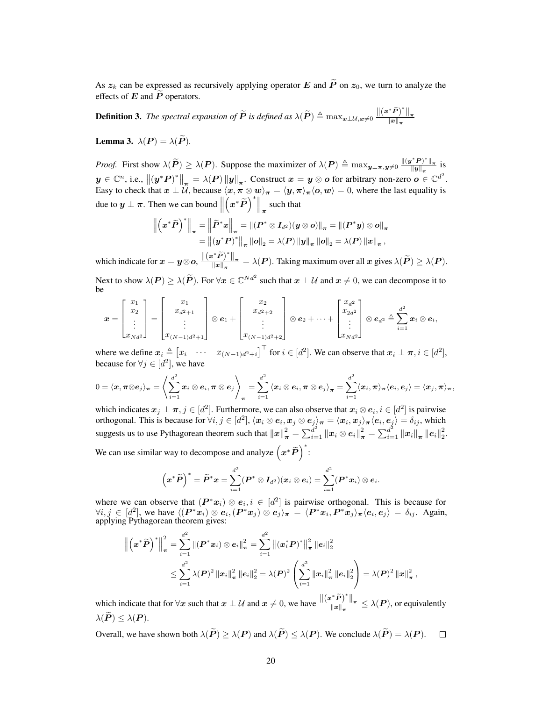As  $z_k$  can be expressed as recursively applying operator E and  $\tilde{P}$  on  $z_0$ , we turn to analyze the effects of  $E$  and  $\widetilde{P}$  operators.

<span id="page-7-0"></span>**Definition 3.** The spectral expansion of  $\widetilde{P}$  is defined as  $\lambda(\widetilde{P}) \triangleq \max_{x \perp \mathcal{U}, x \neq 0} \frac{\Vert (x^* \widetilde{P})^* \Vert_{\pi}}{\Vert x \Vert_{\pi}}$  $\left\Vert x\right\Vert _{\pi}$ 

**Lemma 3.**  $\lambda(P) = \lambda(\widetilde{P})$ .

*Proof.* First show  $\lambda(\tilde{P}) \ge \lambda(P)$ . Suppose the maximizer of  $\lambda(P) \triangleq \max_{y \perp \pi, y \neq 0} \frac{\|(y^*P)^*\|_{\pi}}{\|y\|_{\pi}}$  $\frac{f F}{\|y\|_{\pi}}$  is  $y \in \mathbb{C}^n$ , i.e.,  $\left\| \left( y^* P \right)^* \right\|_{\pi} = \lambda(P) \left\| y \right\|_{\pi}$ . Construct  $x = y \otimes o$  for arbitrary non-zero  $o \in \mathbb{C}^{d^2}$ . Easy to check that  $x \perp \mathcal{U}$ , because  $\langle x, \pi \otimes w \rangle_{\pi} = \langle y, \pi \rangle_{\pi} \langle o, w \rangle = 0$ , where the last equality is due to  $y \perp \pi$ . Then we can bound  $\parallel$  $\left(x^*\widetilde{P}\right)^* \bigg\|_{\pi}$  such that

$$
\left\| \left( x^* \widetilde{P} \right)^* \right\|_{\pi} = \left\| \widetilde{P}^* x \right\|_{\pi} = \left\| (P^* \otimes I_{d^2})(y \otimes o) \right\|_{\pi} = \left\| (P^* y) \otimes o \right\|_{\pi}
$$

$$
= \left\| (y^* P)^* \right\|_{\pi} \left\| o \right\|_{2} = \lambda(P) \left\| y \right\|_{\pi} \left\| o \right\|_{2} = \lambda(P) \left\| x \right\|_{\pi},
$$

which indicate for  $x = y \otimes \mathbf{o}$ ,  $\frac{\Vert (x^* \tilde{P})^* \Vert_{\pi}}{\Vert x \Vert}$  $\frac{f(x)}{\|x\|_{\pi}} = \lambda(P)$ . Taking maximum over all x gives  $\lambda(P) \geq \lambda(P)$ . Next to show  $\lambda(P) \ge \lambda(\tilde{P})$ . For  $\forall x \in \mathbb{C}^{Nd^2}$  such that  $x \perp \mathcal{U}$  and  $x \ne 0$ , we can decompose it to be

$$
\boldsymbol{x} = \begin{bmatrix} x_1 \\ x_2 \\ \vdots \\ x_{Nd^2} \end{bmatrix} = \begin{bmatrix} x_1 \\ x_{d^2+1} \\ \vdots \\ x_{(N-1)d^2+1} \end{bmatrix} \otimes \boldsymbol{e}_1 + \begin{bmatrix} x_2 \\ x_{d^2+2} \\ \vdots \\ x_{(N-1)d^2+2} \end{bmatrix} \otimes \boldsymbol{e}_2 + \cdots + \begin{bmatrix} x_{d^2} \\ x_{2d^2} \\ \vdots \\ x_{Nd^2} \end{bmatrix} \otimes \boldsymbol{e}_{d^2} \triangleq \sum_{i=1}^{d^2} x_i \otimes \boldsymbol{e}_i,
$$

where we define  $x_i \triangleq \begin{bmatrix} x_i & \cdots & x_{(N-1)d^2+i} \end{bmatrix}^\top$  for  $i \in [d^2]$ . We can observe that  $x_i \perp \pi, i \in [d^2]$ , because for  $\forall j \in [d^2]$ , we have

$$
0=\langle \pmb{x}, \pmb{\pi}\otimes \pmb{e}_j\rangle_{\pmb{\pi}}=\left\langle \sum_{i=1}^{d^2}\pmb{x}_i\otimes \pmb{e}_i, \pmb{\pi}\otimes \pmb{e}_j\right\rangle_{\pmb{\pi}}=\sum_{i=1}^{d^2}\left\langle \pmb{x}_i\otimes \pmb{e}_i, \pmb{\pi}\otimes \pmb{e}_j\right\rangle_{\pmb{\pi}}=\sum_{i=1}^{d^2}\langle \pmb{x}_i, \pmb{\pi}\rangle_{\pmb{\pi}}\langle \pmb{e}_i, \pmb{e}_j\rangle=\langle \pmb{x}_j, \pmb{\pi}\rangle_{\pmb{\pi}},
$$

which indicates  $x_j \perp \pi, j \in [d^2]$ . Furthermore, we can also observe that  $x_i \otimes e_i, i \in [d^2]$  is pairwise orthogonal. This is because for  $\forall i, j \in [d^2], \langle x_i \otimes e_i, x_j \otimes e_j \rangle_{\pi} = \langle x_i, x_j \rangle_{\pi} \langle e_i, e_j \rangle = \delta_{ij}$ , which suggests us to use Pythagorean theorem such that  $\left\|x\right\|_{\boldsymbol{\pi}}^2 = \sum_{i=1}^{d^2} \left\|x_i\otimes e_i\right\|_{\boldsymbol{\pi}}^2 = \sum_{i=1}^{d^2} \left\|x_i\right\|_{\boldsymbol{\pi}} \left\|e_i\right\|_2^2$ .

We can use similar way to decompose and analyze  $(x^*\tilde{P})^*$ :

$$
\left(\boldsymbol{x}^{*}\widetilde{\boldsymbol{P}}\right)^{*}=\widetilde{\boldsymbol{P}}^{*}\boldsymbol{x}=\sum_{i=1}^{d^{2}}(\boldsymbol{P}^{*}\otimes \boldsymbol{I}_{d^{2}})(\boldsymbol{x}_{i}\otimes \boldsymbol{e}_{i})=\sum_{i=1}^{d^{2}}(\boldsymbol{P}^{*}\boldsymbol{x}_{i})\otimes \boldsymbol{e}_{i}.
$$

where we can observe that  $(P^*x_i) \otimes e_i, i \in [d^2]$  is pairwise orthogonal. This is because for  $\forall i, j \in [d^2]$ , we have  $\langle (P^*x_i) \otimes e_i, (P^*x_j) \otimes e_j \rangle_{\pi} = \langle P^*x_i, P^*x_j \rangle_{\pi} \langle e_i, e_j \rangle = \delta_{ij}$ . Again, applying Pythagorean theorem gives:

$$
\left\|\left(\boldsymbol{x}^{*}\widetilde{\boldsymbol{P}}\right)^{*}\right\|_{\boldsymbol{\pi}}^{2}=\sum_{i=1}^{d^{2}}\left\|(\boldsymbol{P}^{*}\boldsymbol{x}_{i})\otimes\boldsymbol{e}_{i}\right\|_{\boldsymbol{\pi}}^{2}=\sum_{i=1}^{d^{2}}\left\|(\boldsymbol{x}_{i}^{*}\boldsymbol{P})^{*}\right\|_{\boldsymbol{\pi}}^{2}\left\|\boldsymbol{e}_{i}\right\|_{2}^{2}\\\leq\sum_{i=1}^{d^{2}}\lambda(\boldsymbol{P})^{2}\left\|\boldsymbol{x}_{i}\right\|_{\boldsymbol{\pi}}^{2}\left\|\boldsymbol{e}_{i}\right\|_{2}^{2}=\lambda(\boldsymbol{P})^{2}\left(\sum_{i=1}^{d^{2}}\left\|\boldsymbol{x}_{i}\right\|_{\boldsymbol{\pi}}^{2}\left\|\boldsymbol{e}_{i}\right\|_{2}^{2}\right)=\lambda(\boldsymbol{P})^{2}\left\|\boldsymbol{x}\right\|_{\boldsymbol{\pi}}^{2}
$$

,

which indicate that for  $\forall x$  such that  $x \perp \mathcal{U}$  and  $x \neq 0$ , we have  $\frac{\|(x^*\tilde{P})^*\|_{\pi}}{\|x\|}$  $\frac{f(x) - f(x)}{\|x\|_{\pi}} \leq \lambda(P)$ , or equivalently  $\lambda(\widetilde{\boldsymbol{P}}) \leq \lambda(\boldsymbol{P}).$ 

Overall, we have shown both  $\lambda(\widetilde{P}) \geq \lambda(P)$  and  $\lambda(\widetilde{P}) \leq \lambda(P)$ . We conclude  $\lambda(\widetilde{P}) = \lambda(P)$ .  $\Box$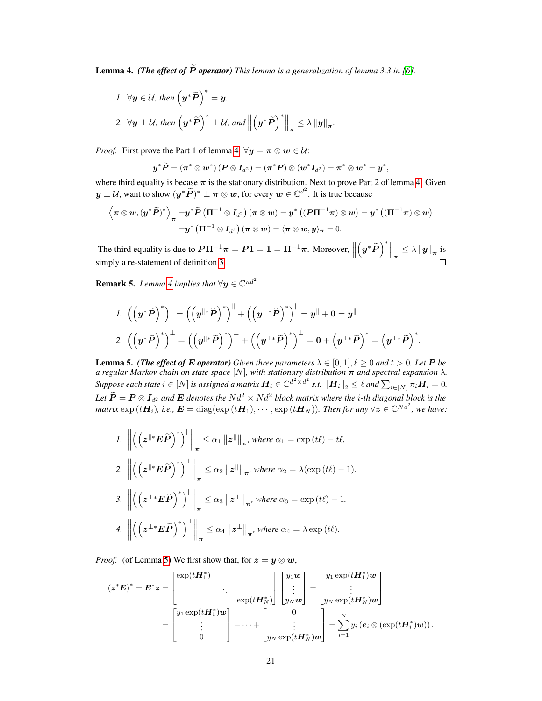<span id="page-8-0"></span>**Lemma 4.** *(The effect of*  $\tilde{P}$  *operator) This lemma is a generalization of lemma 3.3 in [\[6\]](#page--1-11).* 

1. 
$$
\forall y \in \mathcal{U}
$$
, then  $(y^*\tilde{P})^* = y$ .  
\n2.  $\forall y \perp \mathcal{U}$ , then  $(y^*\tilde{P})^* \perp \mathcal{U}$ , and  $\left\| (y^*\tilde{P})^* \right\|_{\pi} \leq \lambda \|y\|_{\pi}$ .

*Proof.* First prove the Part 1 of lemma [4.](#page-8-0)  $\forall y = \pi \otimes w \in \mathcal{U}$ :

$$
y^*\tilde{P} = (\pi^* \otimes w^*) (P \otimes I_{d^2}) = (\pi^*P) \otimes (w^*I_{d^2}) = \pi^* \otimes w^* = y^*,
$$

where third equality is becase  $\pi$  is the stationary distribution. Next to prove Part 2 of lemma [4.](#page-8-0) Given  $y \perp \mathcal{U}$ , want to show  $(y^*\widetilde{P})^* \perp \pi \otimes w$ , for every  $w \in \mathbb{C}^{d^2}$ . It is true because

$$
\begin{aligned} \left\langle \pi\otimes w, (y^*\widetilde{P})^*\right\rangle_{\pi}=&y^*\widetilde{P}\left(\Pi^{-1}\otimes I_{d^2}\right)(\pi\otimes w)=y^*\left((P\Pi^{-1}\pi)\otimes w\right)=y^*\left((\Pi^{-1}\pi)\otimes w\right)\\ =&y^*\left(\Pi^{-1}\otimes I_{d^2}\right)(\pi\otimes w)=\langle \pi\otimes w,y\rangle_{\pi}=0. \end{aligned}
$$

The third equality is due to  $P\Pi^{-1}\pi = P1 = 1 = \Pi^{-1}\pi$ . Moreover,  $\left(y^*\widetilde{P}\right)^*\Big\|_{\pi} \leq \lambda \left\|y\right\|_{\pi}$  is simply a re-statement of definition [3.](#page-7-0)

<span id="page-8-2"></span>**Remark 5.** Lemma [4](#page-8-0) implies that  $\forall y \in \mathbb{C}^{nd^2}$ 

$$
\begin{split} &I.~\left(\left(\boldsymbol{y}^{*}\widetilde{\boldsymbol{P}}\right)^{*}\right)^{\parallel}=\left(\left(\boldsymbol{y}^{\parallel *}\widetilde{\boldsymbol{P}}\right)^{*}\right)^{\parallel}+\left(\left(\boldsymbol{y}^{\perp *}\widetilde{\boldsymbol{P}}\right)^{*}\right)^{\parallel}=\boldsymbol{y}^{\parallel}+\boldsymbol{0}=\boldsymbol{y}^{\parallel} \\ &2.~\left(\left(\boldsymbol{y}^{*}\widetilde{\boldsymbol{P}}\right)^{*}\right)^{\perp}=\left(\left(\boldsymbol{y}^{\parallel *}\widetilde{\boldsymbol{P}}\right)^{*}\right)^{\perp}+\left(\left(\boldsymbol{y}^{\perp *}\widetilde{\boldsymbol{P}}\right)^{*}\right)^{\perp}=\boldsymbol{0}+\left(\boldsymbol{y}^{\perp *}\widetilde{\boldsymbol{P}}\right)^{*}=\left(\boldsymbol{y}^{\perp *}\widetilde{\boldsymbol{P}}\right)^{*}. \end{split}
$$

<span id="page-8-1"></span>**Lemma 5.** *(The effect of E operator) Given three parameters*  $\lambda \in [0,1], \ell \ge 0$  *and*  $t > 0$ *. Let* P *be a regular Markov chain on state space* [N]*, with stationary distribution* π *and spectral expansion* λ*.*  $Suppose\ each\ state\ i\in [N] \ is\ assigned\ a\ matrix\ \boldsymbol{H}_i\in \mathbb{C}^{d^2\times d^2}\ s.t.\ \left\|\boldsymbol{H}_i\right\|_2\leq \ell\ and\ \sum_{i\in [N]}\pi_i\boldsymbol{H}_i=0.$ *Let*  $\widetilde{P} = P \otimes I_{d^2}$  *and*  $E$  *denotes the*  $N d^2 \times N d^2$  *block matrix where the i-th diagonal block is the matrix*  $\exp(t\bm{H}_i)$ , i.e.,  $\bm{E} = \text{diag}(\exp(t\bm{H}_1), \cdots, \exp(t\bm{H}_N))$ . Then for any  $\forall \bm{z} \in \mathbb{C}^{Nd^2}$ , we have:

1. 
$$
\left\| \left( \left( z^{\parallel *} E \tilde{P} \right)^* \right)^{\parallel} \right\|_{\pi} \leq \alpha_1 \left\| z^{\parallel} \right\|_{\pi}
$$
, where  $\alpha_1 = \exp(t\ell) - t\ell$ .  
\n2.  $\left\| \left( \left( z^{\parallel *} E \tilde{P} \right)^* \right)^{\perp} \right\|_{\pi} \leq \alpha_2 \left\| z^{\parallel} \right\|_{\pi}$ , where  $\alpha_2 = \lambda(\exp(t\ell) - 1)$ .  
\n3.  $\left\| \left( \left( z^{\perp *} E \tilde{P} \right)^* \right)^{\parallel} \right\|_{\pi} \leq \alpha_3 \left\| z^{\perp} \right\|_{\pi}$ , where  $\alpha_3 = \exp(t\ell) - 1$ .  
\n4.  $\left\| \left( \left( z^{\perp *} E \tilde{P} \right)^* \right)^{\perp} \right\|_{\pi} \leq \alpha_4 \left\| z^{\perp} \right\|_{\pi}$ , where  $\alpha_4 = \lambda \exp(t\ell)$ .

*Proof.* (of Lemma [5\)](#page-8-1) We first show that, for  $z = y \otimes w$ ,

$$
(\boldsymbol{z}^* \boldsymbol{E})^* = \boldsymbol{E}^* \boldsymbol{z} = \begin{bmatrix} \exp(t \boldsymbol{H}_1^*) & & \\ \exp(t \boldsymbol{H}_N^*) & & \\ \exp(t \boldsymbol{H}_N^*) & & \\ \vdots & & \\ 0 & & \end{bmatrix} \begin{bmatrix} y_1 \boldsymbol{w} \\ \vdots \\ y_N \boldsymbol{w} \end{bmatrix} = \begin{bmatrix} y_1 \exp(t \boldsymbol{H}_1^*) \boldsymbol{w} \\ \vdots \\ y_N \exp(t \boldsymbol{H}_N^*) \boldsymbol{w} \end{bmatrix}
$$
\n
$$
= \begin{bmatrix} y_1 \exp(t \boldsymbol{H}_1^*) \boldsymbol{w} \\ \vdots \\ y_N \exp(t \boldsymbol{H}_N^*) \boldsymbol{w} \end{bmatrix} + \dots + \begin{bmatrix} 0 \\ \vdots \\ y_N \exp(t \boldsymbol{H}_N^*) \boldsymbol{w} \end{bmatrix} = \sum_{i=1}^N y_i \left( e_i \otimes (\exp(t \boldsymbol{H}_i^*) \boldsymbol{w}) \right).
$$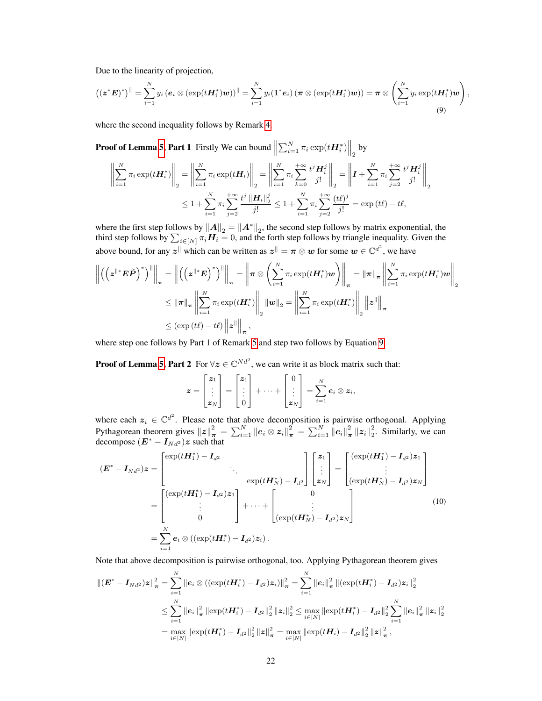Due to the linearity of projection,

$$
\left(\left(\mathbf{z}^* \boldsymbol{E}\right)^*\right)^{\parallel} = \sum_{i=1}^N y_i \left(\boldsymbol{e}_i \otimes \left(\exp(t \boldsymbol{H}_i^*) \boldsymbol{w}\right)\right)^{\parallel} = \sum_{i=1}^N y_i (\boldsymbol{1}^* \boldsymbol{e}_i) \left(\boldsymbol{\pi} \otimes \left(\exp(t \boldsymbol{H}_i^*) \boldsymbol{w}\right)\right) = \boldsymbol{\pi} \otimes \left(\sum_{i=1}^N y_i \exp(t \boldsymbol{H}_i^*) \boldsymbol{w}\right),\tag{9}
$$

where the second inequality follows by Remark [4.](#page-6-0)

<span id="page-9-0"></span>**Proof of Lemma 5, Part 1** Firstly We can bound 
$$
\left\| \sum_{i=1}^{N} \pi_i \exp(t \mathbf{H}_i^*) \right\|_2
$$
 by  

$$
\left\| \sum_{i=1}^{N} \pi_i \exp(t \mathbf{H}_i^*) \right\|_2 = \left\| \sum_{i=1}^{N} \pi_i \exp(t \mathbf{H}_i) \right\|_2 = \left\| \sum_{i=1}^{N} \pi_i \sum_{k=0}^{+\infty} \frac{t^j \mathbf{H}_i^j}{j!} \right\|_2 = \left\| \mathbf{I} + \sum_{i=1}^{N} \pi_i \sum_{j=2}^{+\infty} \frac{t^j \mathbf{H}_i^j}{j!} \right\|_2
$$

$$
\leq 1 + \sum_{i=1}^{N} \pi_i \sum_{j=2}^{+\infty} \frac{t^j \left\| \mathbf{H}_i \right\|_2^j}{j!} \leq 1 + \sum_{i=1}^{N} \pi_i \sum_{j=2}^{+\infty} \frac{(t\ell)^j}{j!} = \exp(t\ell) - t\ell,
$$

where the first step follows by  $||A||_2 = ||A^*||_2$ , the second step follows by matrix exponential, the third step follows by  $\sum_{i\in[N]} \pi_i \mathbf{H}_i = 0$ , and the forth step follows by triangle inequality. Given the above bound, for any  $z^{\parallel}$  which can be written as  $z^{\parallel} = \pi \otimes w$  for some  $w \in \mathbb{C}^{d^2}$ , we have

$$
\left\| \left( \left( \mathbf{z}^{\parallel*} \mathbf{E} \widetilde{\mathbf{P}} \right)^* \right)^{\parallel} \right\|_{\pi} = \left\| \left( \left( \mathbf{z}^{\parallel*} \mathbf{E} \right)^* \right)^{\parallel} \right\|_{\pi} = \left\| \pi \otimes \left( \sum_{i=1}^N \pi_i \exp(t \mathbf{H}_i^*) \mathbf{w} \right) \right\|_{\pi} = \left\| \pi \right\|_{\pi} \left\| \sum_{i=1}^N \pi_i \exp(t \mathbf{H}_i^*) \mathbf{w} \right\|_{2}
$$
  

$$
\leq \left\| \pi \right\|_{\pi} \left\| \sum_{i=1}^N \pi_i \exp(t \mathbf{H}_i^*) \right\|_{2} \left\| \mathbf{w} \right\|_{2} = \left\| \sum_{i=1}^N \pi_i \exp(t \mathbf{H}_i^*) \right\|_{2} \left\| \mathbf{z}^{\parallel} \right\|_{\pi}
$$
  

$$
\leq (\exp(t\ell) - t\ell) \left\| \mathbf{z}^{\parallel} \right\|_{\pi},
$$

where step one follows by Part 1 of Remark [5](#page-8-2) and step two follows by Equation [9.](#page-5-2)

**Proof of Lemma [5,](#page-8-1) Part 2** For  $\forall z \in \mathbb{C}^{Nd^2}$ , we can write it as block matrix such that:

$$
\boldsymbol{z} = \begin{bmatrix} z_1 \\ \vdots \\ z_N \end{bmatrix} = \begin{bmatrix} z_1 \\ \vdots \\ 0 \end{bmatrix} + \cdots + \begin{bmatrix} 0 \\ \vdots \\ z_N \end{bmatrix} = \sum_{i=1}^N \boldsymbol{e}_i \otimes \boldsymbol{z}_i,
$$

where each  $z_i \in \mathbb{C}^{d^2}$ . Please note that above decomposition is pairwise orthogonal. Applying Pythagorean theorem gives  $||z||^2_{\pi} = \sum_{i=1}^N ||e_i \otimes z_i||^2_{\pi} = \sum_{i=1}^N ||e_i||^2_{\pi} ||z_i||^2_{2}$ . Similarly, we can decompose  $(E^* - I_{Nd^2})z$  such that

$$
(\boldsymbol{E}^* - \boldsymbol{I}_{Nd^2})\boldsymbol{z} = \begin{bmatrix} \exp(t\boldsymbol{H}_1^*) - \boldsymbol{I}_{d^2} \\ \vdots \\ \exp(t\boldsymbol{H}_N^*) - \boldsymbol{I}_{d^2} \end{bmatrix} \begin{bmatrix} z_1 \\ \vdots \\ z_N \end{bmatrix} = \begin{bmatrix} (\exp(t\boldsymbol{H}_1^*) - \boldsymbol{I}_{d^2})z_1 \\ \vdots \\ (\exp(t\boldsymbol{H}_N^*) - \boldsymbol{I}_{d^2})z_N \end{bmatrix}
$$

$$
= \begin{bmatrix} (\exp(t\boldsymbol{H}_1^*) - \boldsymbol{I}_{d^2})z_1 \\ \vdots \\ 0 \end{bmatrix} + \dots + \begin{bmatrix} 0 \\ \vdots \\ (\exp(t\boldsymbol{H}_N^*) - \boldsymbol{I}_{d^2})z_N \end{bmatrix}
$$
(10)
$$
= \sum_{i=1}^N \boldsymbol{e}_i \otimes ((\exp(t\boldsymbol{H}_i^*) - \boldsymbol{I}_{d^2})z_i).
$$

Note that above decomposition is pairwise orthogonal, too. Applying Pythagorean theorem gives

$$
\begin{aligned} \left\| (\bm{E}^* - \bm{I}_{Nd^2}) \bm{z} \right\|_{\bm{\pi}}^2 &= \sum_{i=1}^N \left\| \bm{e}_i \otimes \left( (\exp(t\bm{H}_i^*) - \bm{I}_{d^2}) \bm{z}_i \right) \right\|_{\bm{\pi}}^2 = \sum_{i=1}^N \left\| \bm{e}_i \right\|_{\bm{\pi}}^2 \left\| (\exp(t\bm{H}_i^*) - \bm{I}_{d^2}) \bm{z}_i \right\|_2^2 \\ & \leq \sum_{i=1}^N \left\| \bm{e}_i \right\|_{\bm{\pi}}^2 \left\| \exp(t\bm{H}_i^*) - \bm{I}_{d^2} \right\|_2^2 \left\| \bm{z}_i \right\|_2^2 \leq \max_{i \in [N]} \left\| \exp(t\bm{H}_i^*) - \bm{I}_{d^2} \right\|_2^2 \sum_{i=1}^N \left\| \bm{e}_i \right\|_{\bm{\pi}}^2 \left\| \bm{z}_i \right\|_2^2 \\ &= \max_{i \in [N]} \left\| \exp(t\bm{H}_i^*) - \bm{I}_{d^2} \right\|_2^2 \left\| \bm{z} \right\|_{\bm{\pi}}^2 = \max_{i \in [N]} \left\| \exp(t\bm{H}_i) - \bm{I}_{d^2} \right\|_2^2 \left\| \bm{z} \right\|_{\bm{\pi}}^2, \end{aligned}
$$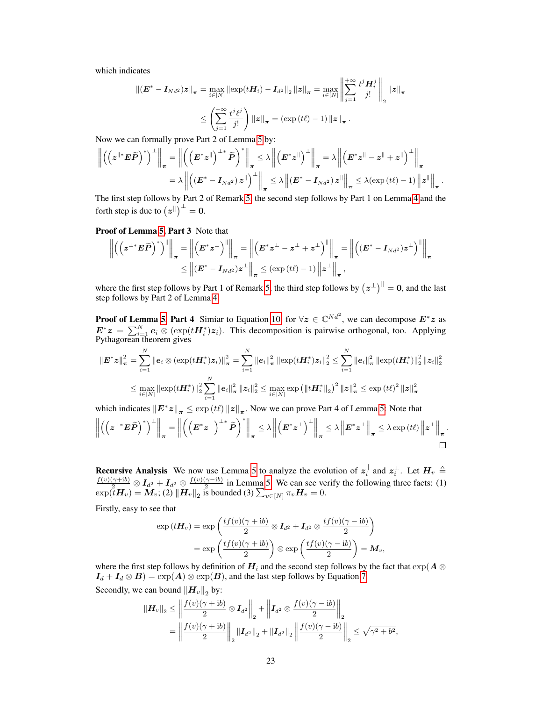which indicates

$$
\begin{aligned} \left\| \left( \boldsymbol{E}^* - \boldsymbol{I}_{Nd^2} \right) \boldsymbol{z} \right\|_{\boldsymbol{\pi}} &= \max_{i \in [N]} \left\| \exp(t \boldsymbol{H}_i) - \boldsymbol{I}_{d^2} \right\|_2 \left\| \boldsymbol{z} \right\|_{\boldsymbol{\pi}} = \max_{i \in [N]} \left\| \sum_{j=1}^{+\infty} \frac{t^j \boldsymbol{H}_i^j}{j!} \right\|_2 \left\| \boldsymbol{z} \right\|_{\boldsymbol{\pi}} \\ &\leq \left( \sum_{j=1}^{+\infty} \frac{t^j \ell^j}{j!} \right) \left\| \boldsymbol{z} \right\|_{\boldsymbol{\pi}} = \left( \exp\left(t\ell\right) - 1 \right) \left\| \boldsymbol{z} \right\|_{\boldsymbol{\pi}}. \end{aligned}
$$

Now we can formally prove Part 2 of Lemma [5](#page-8-1) by:

$$
\left\| \left( \left( z^{\parallel*} E \widetilde{P} \right)^* \right)^{\perp} \right\|_{\pi} = \left\| \left( \left( E^* z^{\parallel} \right)^{\perp*} \widetilde{P} \right)^* \right\|_{\pi} \leq \lambda \left\| \left( E^* z^{\parallel} \right)^{\perp} \right\|_{\pi} = \lambda \left\| \left( E^* z^{\parallel} - z^{\parallel} + z^{\parallel} \right)^{\perp} \right\|_{\pi}
$$

$$
= \lambda \left\| \left( (E^* - I_{Nd^2}) z^{\parallel} \right)^{\perp} \right\|_{\pi} \leq \lambda \left\| (E^* - I_{Nd^2}) z^{\parallel} \right\|_{\pi} \leq \lambda (\exp{(t\ell)} - 1) \left\| z^{\parallel} \right\|_{\pi}.
$$

The first step follows by Part 2 of Remark [5,](#page-8-2) the second step follows by Part 1 on Lemma [4](#page-8-0) and the forth step is due to  $(z^{\parallel})^{\perp} = 0$ .

Proof of Lemma [5,](#page-8-1) Part 3 Note that

$$
\left\| \left( \left( z^{\perp*} E \widetilde{P} \right)^* \right)^{\parallel} \right\|_{\pi} = \left\| \left( E^* z^{\perp} \right)^{\parallel} \right\|_{\pi} = \left\| \left( E^* z^{\perp} - z^{\perp} + z^{\perp} \right)^{\parallel} \right\|_{\pi} = \left\| \left( (E^* - I_{Nd^2}) z^{\perp} \right)^{\parallel} \right\|_{\pi}
$$
  
\$\leq\$  $\left\| (E^* - I_{Nd^2}) z^{\perp} \right\|_{\pi} \leq (\exp{(t\ell)} - 1) \left\| z^{\perp} \right\|_{\pi},$ 

where the first step follows by Part 1 of Remark [5,](#page-8-2) the third step follows by  $(z^{\perp})^{\parallel} = 0$ , and the last step follows by Part 2 of Lemma [4.](#page-8-0)

**Proof of Lemma [5,](#page-8-1) Part 4** Simiar to Equation [10,](#page-9-0) for  $\forall z \in \mathbb{C}^{Nd^2}$ , we can decompose  $E^*z$  as  $E^*z = \sum_{i=1}^N e_i \otimes (\exp(tH_i^*)z_i)$ . This decomposition is pairwise orthogonal, too. Applying Pythagorean theorem gives

$$
\begin{aligned} \left\|E^*z\right\|_{\pi}^2 &= \sum_{i=1}^N \left\|e_i\otimes(\exp(t\boldsymbol{H}_i^*)z_i)\right\|_{\pi}^2 = \sum_{i=1}^N \left\|e_i\right\|_{\pi}^2 \left\|\exp(t\boldsymbol{H}_i^*)z_i\right\|_2^2 \le \sum_{i=1}^N \left\|e_i\right\|_{\pi}^2 \left\|\exp(t\boldsymbol{H}_i^*)\right\|_2^2 \left\|z_i\right\|_2^2 \\ &\le \max_{i\in[N]} \left\|\exp(t\boldsymbol{H}_i^*)\right\|_2^2 \sum_{i=1}^N \left\|e_i\right\|_{\pi}^2 \left\|z_i\right\|_2^2 \le \max_{i\in[N]} \exp\left(\left\|t\boldsymbol{H}_i^*\right\|_2\right)^2 \left\|z\right\|_{\pi}^2 \le \exp\left(t\ell\right)^2 \left\|z\right\|_{\pi}^2 \end{aligned}
$$

which indicates  $||E^*z||_{\pi} \leq \exp(t\ell) ||z||_{\pi}$ . Now we can prove Part 4 of Lemma [5:](#page-8-1) Note that

$$
\left\| \left( \left( z^{\perp*} E \widetilde{P} \right)^* \right)^{\perp} \right\|_{\pi} = \left\| \left( \left( E^* z^{\perp} \right)^{\perp*} \widetilde{P} \right)^* \right\|_{\pi} \leq \lambda \left\| \left( E^* z^{\perp} \right)^{\perp} \right\|_{\pi} \leq \lambda \left\| E^* z^{\perp} \right\|_{\pi} \leq \lambda \exp \left( t \ell \right) \left\| z^{\perp} \right\|_{\pi}.
$$

**Recursive Analysis** We now use Lemma [5](#page-8-1) to analyze the evolution of  $z_i^{\parallel}$ **Recursive Analysis** We now use Lemma 5 to analyze the evolution of  $z_i^{\parallel}$  and  $z_i^{\perp}$ . Let  $H_v \triangleq \frac{f(v)(\gamma + ib)}{2} \otimes I_{d^2} + I_{d^2} \otimes \frac{f(v)(\gamma - ib)}{2}$  in Lemma 5. We can see verify the following three facts: (1)  $\frac{\gamma - 10}{2}$  in Lemma [5.](#page-8-1) We can see verify the following three facts: (1)  $\exp(\tilde{t}H_v) = M_v$ ; (2)  $\|H_v\|_2$  is bounded (3)  $\sum_{v \in [N]} \pi_v H_v = 0$ .

Firstly, easy to see that

$$
\exp(t\boldsymbol{H}_v) = \exp\left(\frac{tf(v)(\gamma + ib)}{2} \otimes \boldsymbol{I}_{d^2} + \boldsymbol{I}_{d^2} \otimes \frac{tf(v)(\gamma - ib)}{2}\right)
$$

$$
= \exp\left(\frac{tf(v)(\gamma + ib)}{2}\right) \otimes \exp\left(\frac{tf(v)(\gamma - ib)}{2}\right) = \boldsymbol{M}_v,
$$

where the first step follows by definition of  $H_i$  and the second step follows by the fact that  $\exp(A \otimes$  $I_d + I_d \otimes B$  =  $\exp(A) \otimes \exp(B)$ , and the last step follows by Equation [7.](#page-5-3)

Secondly, we can bound  $\left\|\bm{H}_v\right\|_2$  by:

$$
\begin{aligned} \|H_v\|_2 &\le \left\| \frac{f(v)(\gamma + ib)}{2} \otimes I_{d^2} \right\|_2 + \left\| I_{d^2} \otimes \frac{f(v)(\gamma - ib)}{2} \right\|_2 \\ &= \left\| \frac{f(v)(\gamma + ib)}{2} \right\|_2 \|I_{d^2}\|_2 + \|I_{d^2}\|_2 \left\| \frac{f(v)(\gamma - ib)}{2} \right\|_2 \le \sqrt{\gamma^2 + b^2}, \end{aligned}
$$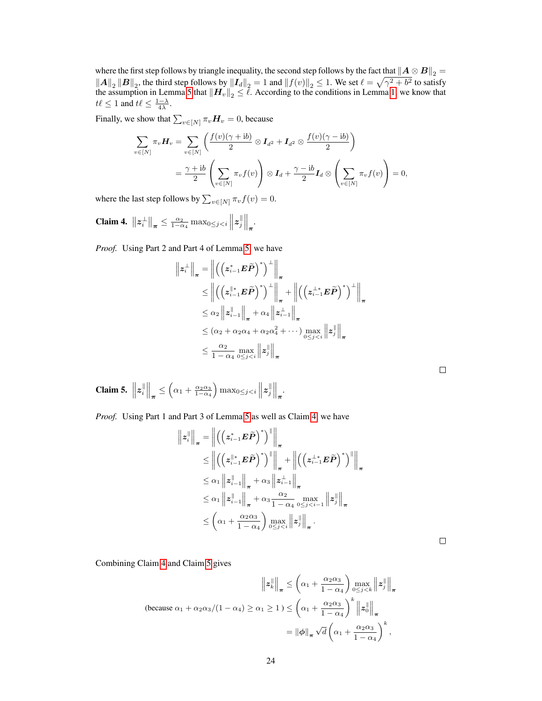where the first step follows by triangle inequality, the second step follows by the fact that  $\|A \otimes B\|_2 =$  $||A||_2 ||B||_2$ , the third step follows by  $||I_d||_2 = 1$  and  $||f(v)||_2 \le 1$ . We set  $\ell = \sqrt{\gamma^2 + b^2}$  to satisfy the assumption in Lemma [5](#page-8-1) that  $\left\| \bm{H}_{v} \right\|_2 \leq \ell$ . According to the conditions in Lemma [1,](#page--1-10) we know that  $t\ell \leq 1$  and  $t\ell \leq \frac{1-\lambda}{4\lambda}$ .

Finally, we show that  $\sum_{v \in [N]} \pi_v \mathbf{H}_v = 0$ , because

$$
\sum_{v \in [N]} \pi_v \boldsymbol{H}_v = \sum_{v \in [N]} \left( \frac{f(v)(\gamma + ib)}{2} \otimes \boldsymbol{I}_{d^2} + \boldsymbol{I}_{d^2} \otimes \frac{f(v)(\gamma - ib)}{2} \right)
$$

$$
= \frac{\gamma + ib}{2} \left( \sum_{v \in [N]} \pi_v f(v) \right) \otimes \boldsymbol{I}_d + \frac{\gamma - ib}{2} \boldsymbol{I}_d \otimes \left( \sum_{v \in [N]} \pi_v f(v) \right) = 0,
$$

where the last step follows by  $\sum_{v \in [N]} \pi_v f(v) = 0.$ 

<span id="page-11-0"></span>**Claim 4.**  $||z_i^{\perp}||_{\pi} \leq \frac{\alpha_2}{1-\alpha_4} \max_{0 \leq j < i} ||z_j^{\parallel}$  $\left\| \atop{j} \right\|_{\boldsymbol{\pi}}.$ 

*Proof.* Using Part 2 and Part 4 of Lemma [5,](#page-8-1) we have

$$
\|\mathbf{z}_{i}^{\perp}\|_{\pi} = \left\| \left( \left( \mathbf{z}_{i-1}^{*} \mathbf{E} \widetilde{\mathbf{P}} \right)^{*} \right)^{\perp} \right\|_{\pi} \n\leq \left\| \left( \left( \mathbf{z}_{i-1}^{*} \mathbf{E} \widetilde{\mathbf{P}} \right)^{*} \right)^{\perp} \right\|_{\pi} + \left\| \left( \left( \mathbf{z}_{i-1}^{+} \mathbf{E} \widetilde{\mathbf{P}} \right)^{*} \right)^{\perp} \right\|_{\pi} \n\leq \alpha_{2} \left\| \mathbf{z}_{i-1}^{\parallel} \right\|_{\pi} + \alpha_{4} \left\| \mathbf{z}_{i-1}^{\perp} \right\|_{\pi} \n\leq (\alpha_{2} + \alpha_{2}\alpha_{4} + \alpha_{2}\alpha_{4}^{2} + \cdots) \max_{0 \leq j < i} \left\| \mathbf{z}_{j}^{\parallel} \right\|_{\pi} \n\leq \frac{\alpha_{2}}{1 - \alpha_{4}} \max_{0 \leq j < i} \left\| \mathbf{z}_{j}^{\parallel} \right\|_{\pi}
$$

<span id="page-11-1"></span>Claim 5.  $||z_i^{\parallel}$  $\left\| \cdot \right\|_{\boldsymbol{\pi}} \leq \left( \alpha_1 + \frac{\alpha_2 \alpha_3}{1 - \alpha_4} \right) \max_{0 \leq j < i} \left\| \boldsymbol{z}_j \right\|$  $\left\| \begin{matrix} \parallel \ j \end{matrix} \right\|_{\boldsymbol{\pi}}$ .

*Proof.* Using Part 1 and Part 3 of Lemma [5](#page-8-1) as well as Claim [4,](#page-11-0) we have

$$
\|z_i^{\parallel}\|_{\pi} = \left\| \left( \left( z_{i-1}^* E \widetilde{P} \right)^* \right)^{\parallel} \right\|_{\pi} \n\leq \left\| \left( \left( z_{i-1}^{\parallel*} E \widetilde{P} \right)^* \right)^{\parallel} \right\|_{\pi} + \left\| \left( \left( z_{i-1}^{\perp*} E \widetilde{P} \right)^* \right)^{\parallel} \right\|_{\pi} \n\leq \alpha_1 \left\| z_{i-1}^{\parallel} \right\|_{\pi} + \alpha_3 \left\| z_{i-1}^{\perp} \right\|_{\pi} \n\leq \alpha_1 \left\| z_{i-1}^{\parallel} \right\|_{\pi} + \alpha_3 \frac{\alpha_2}{1 - \alpha_4} \max_{0 \leq j < i-1} \left\| z_j^{\parallel} \right\|_{\pi} \n\leq \left( \alpha_1 + \frac{\alpha_2 \alpha_3}{1 - \alpha_4} \right) \max_{0 \leq j < i} \left\| z_j^{\parallel} \right\|_{\pi} .
$$

Combining Claim [4](#page-11-0) and Claim [5](#page-11-1) gives

$$
\|z_k^{\parallel}\|_{\pi} \leq \left(\alpha_1 + \frac{\alpha_2 \alpha_3}{1 - \alpha_4}\right) \max_{0 \leq j < k} \|z_j^{\parallel}\|_{\pi}
$$
\n(because  $\alpha_1 + \alpha_2 \alpha_3 / (1 - \alpha_4) \geq \alpha_1 \geq 1$ )

\n
$$
\leq \left(\alpha_1 + \frac{\alpha_2 \alpha_3}{1 - \alpha_4}\right)^k \|z_0^{\parallel}\|_{\pi}
$$
\n
$$
= \|\phi\|_{\pi} \sqrt{d} \left(\alpha_1 + \frac{\alpha_2 \alpha_3}{1 - \alpha_4}\right)^k,
$$

| ۰ |  |  |
|---|--|--|
|   |  |  |
|   |  |  |